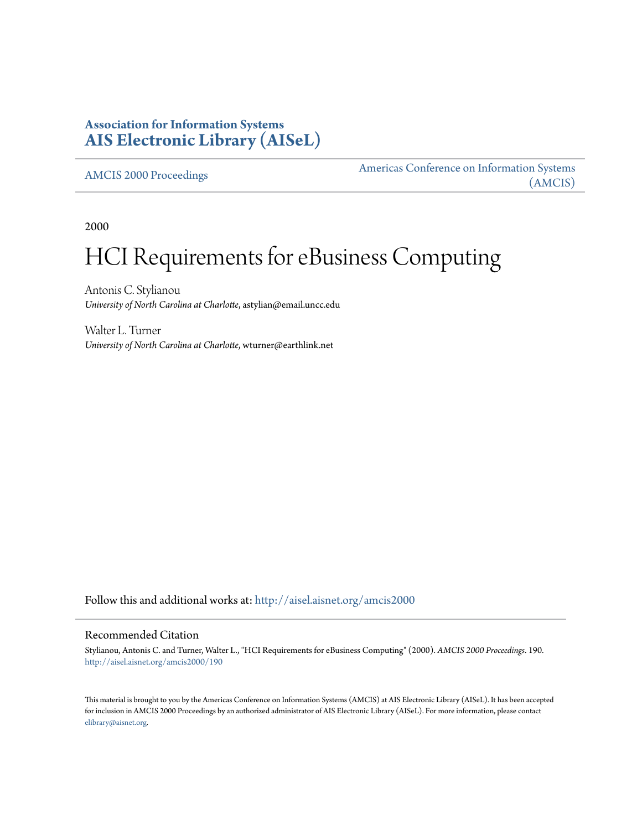# **Association for Information Systems [AIS Electronic Library \(AISeL\)](http://aisel.aisnet.org?utm_source=aisel.aisnet.org%2Famcis2000%2F190&utm_medium=PDF&utm_campaign=PDFCoverPages)**

[AMCIS 2000 Proceedings](http://aisel.aisnet.org/amcis2000?utm_source=aisel.aisnet.org%2Famcis2000%2F190&utm_medium=PDF&utm_campaign=PDFCoverPages)

[Americas Conference on Information Systems](http://aisel.aisnet.org/amcis?utm_source=aisel.aisnet.org%2Famcis2000%2F190&utm_medium=PDF&utm_campaign=PDFCoverPages) [\(AMCIS\)](http://aisel.aisnet.org/amcis?utm_source=aisel.aisnet.org%2Famcis2000%2F190&utm_medium=PDF&utm_campaign=PDFCoverPages)

2000

# HCI Requirements for eBusiness Computing

Antonis C. Stylianou *University of North Carolina at Charlotte*, astylian@email.uncc.edu

Walter L. Turner *University of North Carolina at Charlotte*, wturner@earthlink.net

Follow this and additional works at: [http://aisel.aisnet.org/amcis2000](http://aisel.aisnet.org/amcis2000?utm_source=aisel.aisnet.org%2Famcis2000%2F190&utm_medium=PDF&utm_campaign=PDFCoverPages)

#### Recommended Citation

Stylianou, Antonis C. and Turner, Walter L., "HCI Requirements for eBusiness Computing" (2000). *AMCIS 2000 Proceedings*. 190. [http://aisel.aisnet.org/amcis2000/190](http://aisel.aisnet.org/amcis2000/190?utm_source=aisel.aisnet.org%2Famcis2000%2F190&utm_medium=PDF&utm_campaign=PDFCoverPages)

This material is brought to you by the Americas Conference on Information Systems (AMCIS) at AIS Electronic Library (AISeL). It has been accepted for inclusion in AMCIS 2000 Proceedings by an authorized administrator of AIS Electronic Library (AISeL). For more information, please contact [elibrary@aisnet.org.](mailto:elibrary@aisnet.org%3E)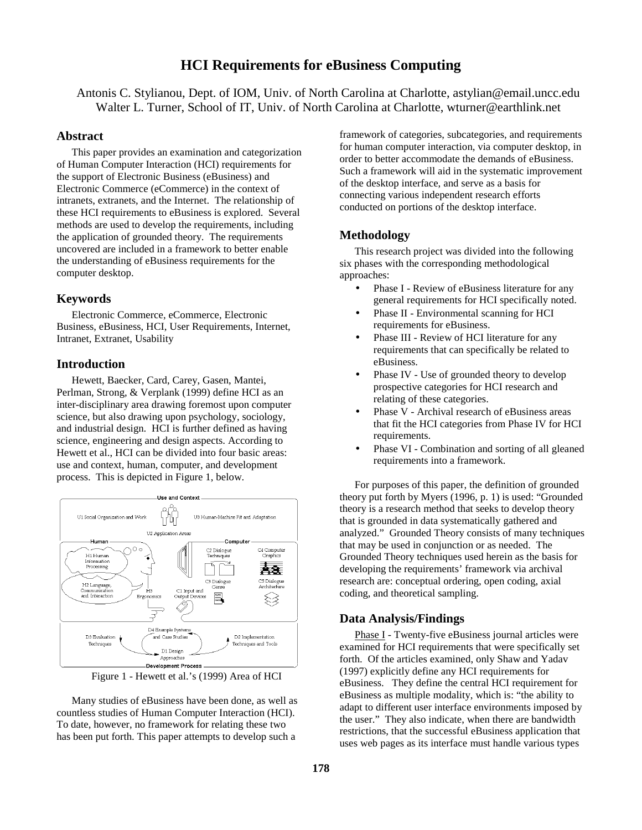# **HCI Requirements for eBusiness Computing**

Antonis C. Stylianou, Dept. of IOM, Univ. of North Carolina at Charlotte, astylian@email.uncc.edu Walter L. Turner, School of IT, Univ. of North Carolina at Charlotte, wturner@earthlink.net

#### **Abstract**

This paper provides an examination and categorization of Human Computer Interaction (HCI) requirements for the support of Electronic Business (eBusiness) and Electronic Commerce (eCommerce) in the context of intranets, extranets, and the Internet. The relationship of these HCI requirements to eBusiness is explored. Several methods are used to develop the requirements, including the application of grounded theory. The requirements uncovered are included in a framework to better enable the understanding of eBusiness requirements for the computer desktop.

#### **Keywords**

Electronic Commerce, eCommerce, Electronic Business, eBusiness, HCI, User Requirements, Internet, Intranet, Extranet, Usability

#### **Introduction**

Hewett, Baecker, Card, Carey, Gasen, Mantei, Perlman, Strong, & Verplank (1999) define HCI as an inter-disciplinary area drawing foremost upon computer science, but also drawing upon psychology, sociology, and industrial design. HCI is further defined as having science, engineering and design aspects. According to Hewett et al., HCI can be divided into four basic areas: use and context, human, computer, and development process. This is depicted in Figure 1, below.



Figure 1 - Hewett et al.'s (1999) Area of HCI

Many studies of eBusiness have been done, as well as countless studies of Human Computer Interaction (HCI). To date, however, no framework for relating these two has been put forth. This paper attempts to develop such a

framework of categories, subcategories, and requirements for human computer interaction, via computer desktop, in order to better accommodate the demands of eBusiness. Such a framework will aid in the systematic improvement of the desktop interface, and serve as a basis for connecting various independent research efforts conducted on portions of the desktop interface.

## **Methodology**

This research project was divided into the following six phases with the corresponding methodological approaches:

- Phase I Review of eBusiness literature for any general requirements for HCI specifically noted.
- Phase II Environmental scanning for HCI requirements for eBusiness.
- Phase III Review of HCI literature for any requirements that can specifically be related to eBusiness.
- Phase IV Use of grounded theory to develop prospective categories for HCI research and relating of these categories.
- Phase V Archival research of eBusiness areas that fit the HCI categories from Phase IV for HCI requirements.
- Phase VI Combination and sorting of all gleaned requirements into a framework.

For purposes of this paper, the definition of grounded theory put forth by Myers (1996, p. 1) is used: "Grounded theory is a research method that seeks to develop theory that is grounded in data systematically gathered and analyzed." Grounded Theory consists of many techniques that may be used in conjunction or as needed. The Grounded Theory techniques used herein as the basis for developing the requirements' framework via archival research are: conceptual ordering, open coding, axial coding, and theoretical sampling.

### **Data Analysis/Findings**

Phase I - Twenty-five eBusiness journal articles were examined for HCI requirements that were specifically set forth. Of the articles examined, only Shaw and Yadav (1997) explicitly define any HCI requirements for eBusiness. They define the central HCI requirement for eBusiness as multiple modality, which is: "the ability to adapt to different user interface environments imposed by the user." They also indicate, when there are bandwidth restrictions, that the successful eBusiness application that uses web pages as its interface must handle various types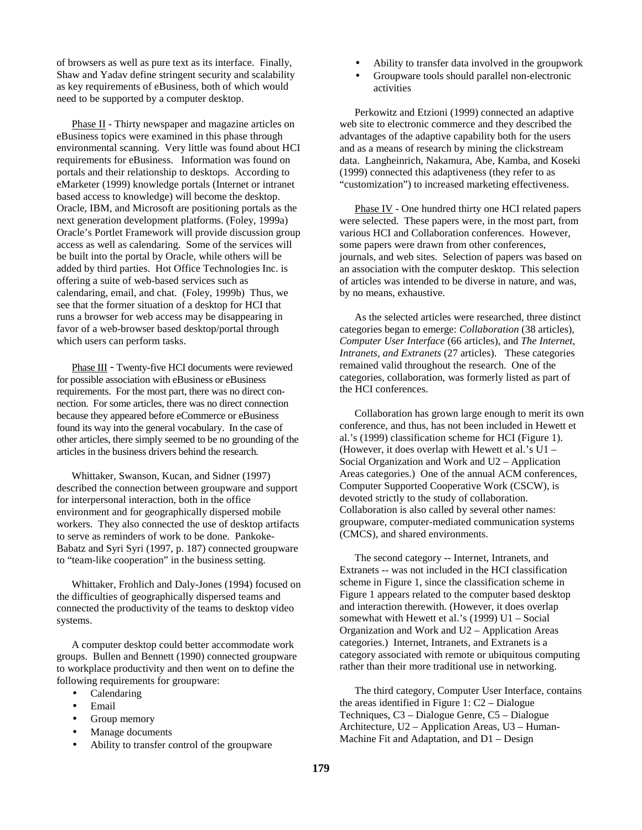of browsers as well as pure text as its interface. Finally, Shaw and Yadav define stringent security and scalability as key requirements of eBusiness, both of which would need to be supported by a computer desktop.

Phase II - Thirty newspaper and magazine articles on eBusiness topics were examined in this phase through environmental scanning. Very little was found about HCI requirements for eBusiness. Information was found on portals and their relationship to desktops. According to eMarketer (1999) knowledge portals (Internet or intranet based access to knowledge) will become the desktop. Oracle, IBM, and Microsoft are positioning portals as the next generation development platforms. (Foley, 1999a) Oracle's Portlet Framework will provide discussion group access as well as calendaring. Some of the services will be built into the portal by Oracle, while others will be added by third parties. Hot Office Technologies Inc. is offering a suite of web-based services such as calendaring, email, and chat. (Foley, 1999b) Thus, we see that the former situation of a desktop for HCI that runs a browser for web access may be disappearing in favor of a web-browser based desktop/portal through which users can perform tasks.

Phase III - Twenty-five HCI documents were reviewed for possible association with eBusiness or eBusiness requirements. For the most part, there was no direct connection. For some articles, there was no direct connection because they appeared before eCommerce or eBusiness found its way into the general vocabulary. In the case of other articles, there simply seemed to be no grounding of the articles in the business drivers behind the research.

Whittaker, Swanson, Kucan, and Sidner (1997) described the connection between groupware and support for interpersonal interaction, both in the office environment and for geographically dispersed mobile workers. They also connected the use of desktop artifacts to serve as reminders of work to be done. Pankoke-Babatz and Syri Syri (1997, p. 187) connected groupware to "team-like cooperation" in the business setting.

Whittaker, Frohlich and Daly-Jones (1994) focused on the difficulties of geographically dispersed teams and connected the productivity of the teams to desktop video systems.

A computer desktop could better accommodate work groups. Bullen and Bennett (1990) connected groupware to workplace productivity and then went on to define the following requirements for groupware:

- Calendaring
- Email
- Group memory
- Manage documents
- Ability to transfer control of the groupware
- Ability to transfer data involved in the groupwork
- Groupware tools should parallel non-electronic activities

Perkowitz and Etzioni (1999) connected an adaptive web site to electronic commerce and they described the advantages of the adaptive capability both for the users and as a means of research by mining the clickstream data. Langheinrich, Nakamura, Abe, Kamba, and Koseki (1999) connected this adaptiveness (they refer to as "customization") to increased marketing effectiveness.

Phase IV - One hundred thirty one HCI related papers were selected. These papers were, in the most part, from various HCI and Collaboration conferences. However, some papers were drawn from other conferences, journals, and web sites. Selection of papers was based on an association with the computer desktop. This selection of articles was intended to be diverse in nature, and was, by no means, exhaustive.

As the selected articles were researched, three distinct categories began to emerge: *Collaboration* (38 articles), *Computer User Interface* (66 articles), and *The Internet*, *Intranets, and Extranets* (27 articles). These categories remained valid throughout the research. One of the categories, collaboration, was formerly listed as part of the HCI conferences.

Collaboration has grown large enough to merit its own conference, and thus, has not been included in Hewett et al.'s (1999) classification scheme for HCI (Figure 1). (However, it does overlap with Hewett et al.'s U1 – Social Organization and Work and U2 – Application Areas categories.) One of the annual ACM conferences, Computer Supported Cooperative Work (CSCW), is devoted strictly to the study of collaboration. Collaboration is also called by several other names: groupware, computer-mediated communication systems (CMCS), and shared environments.

The second category -- Internet, Intranets, and Extranets -- was not included in the HCI classification scheme in Figure 1, since the classification scheme in Figure 1 appears related to the computer based desktop and interaction therewith. (However, it does overlap somewhat with Hewett et al.'s (1999) U1 – Social Organization and Work and U2 – Application Areas categories.) Internet, Intranets, and Extranets is a category associated with remote or ubiquitous computing rather than their more traditional use in networking.

The third category, Computer User Interface, contains the areas identified in Figure 1: C2 – Dialogue Techniques, C3 – Dialogue Genre, C5 – Dialogue Architecture, U2 – Application Areas, U3 – Human-Machine Fit and Adaptation, and D1 – Design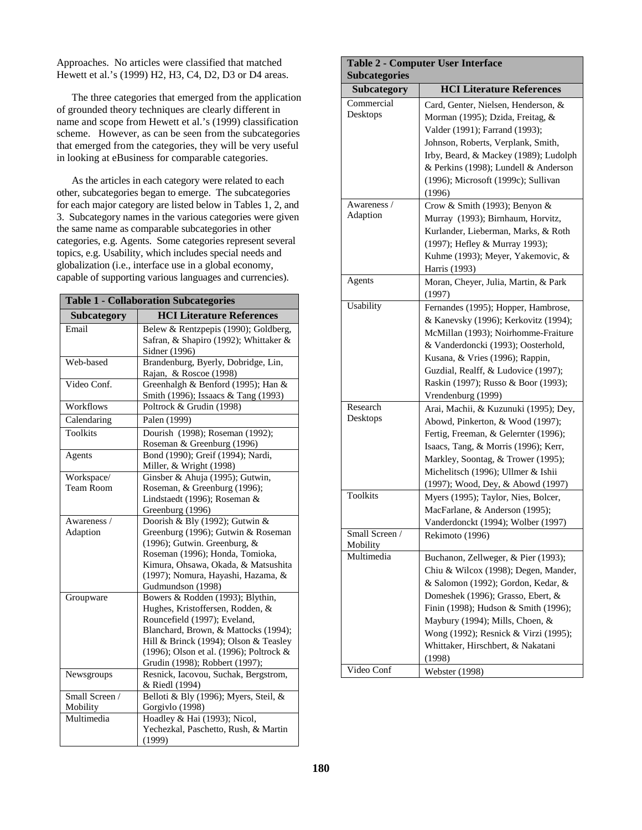Approaches. No articles were classified that matched Hewett et al.'s (1999) H2, H3, C4, D2, D3 or D4 areas.

The three categories that emerged from the application of grounded theory techniques are clearly different in name and scope from Hewett et al.'s (1999) classification scheme. However, as can be seen from the subcategories that emerged from the categories, they will be very useful in looking at eBusiness for comparable categories.

As the articles in each category were related to each other, subcategories began to emerge. The subcategories for each major category are listed below in Tables 1, 2, and 3. Subcategory names in the various categories were given the same name as comparable subcategories in other categories, e.g. Agents. Some categories represent several topics, e.g. Usability, which includes special needs and globalization (i.e., interface use in a global economy, capable of supporting various languages and currencies).

| <b>Table 1 - Collaboration Subcategories</b> |                                                        |  |
|----------------------------------------------|--------------------------------------------------------|--|
| Subcategory                                  | <b>HCI Literature References</b>                       |  |
| Email                                        | Belew & Rentzpepis (1990); Goldberg,                   |  |
|                                              | Safran, & Shapiro (1992); Whittaker &                  |  |
|                                              | Sidner (1996)                                          |  |
| Web-based                                    | Brandenburg, Byerly, Dobridge, Lin,                    |  |
|                                              | Rajan, & Roscoe (1998)                                 |  |
| Video Conf.                                  | Greenhalgh & Benford (1995); Han &                     |  |
|                                              | Smith (1996); Issaacs & Tang (1993)                    |  |
| Workflows                                    | Poltrock & Grudin (1998)                               |  |
| Calendaring                                  | Palen (1999)                                           |  |
| <b>Toolkits</b>                              | Dourish (1998); Roseman (1992);                        |  |
|                                              | Roseman & Greenburg (1996)                             |  |
| Agents                                       | Bond (1990); Greif (1994); Nardi,                      |  |
|                                              | Miller, & Wright (1998)                                |  |
| Workspace/                                   | Ginsber & Ahuja (1995); Gutwin,                        |  |
| <b>Team Room</b>                             | Roseman, & Greenburg (1996);                           |  |
|                                              | Lindstaedt (1996); Roseman &                           |  |
|                                              | Greenburg (1996)                                       |  |
| Awareness /                                  | Doorish & Bly (1992); Gutwin &                         |  |
| Adaption                                     | Greenburg (1996); Gutwin & Roseman                     |  |
|                                              | (1996); Gutwin. Greenburg, $&$                         |  |
|                                              | Roseman (1996); Honda, Tomioka,                        |  |
|                                              | Kimura, Ohsawa, Okada, & Matsushita                    |  |
|                                              | (1997); Nomura, Hayashi, Hazama, &                     |  |
|                                              | Gudmundson (1998)                                      |  |
| Groupware                                    | Bowers & Rodden (1993); Blythin,                       |  |
|                                              | Hughes, Kristoffersen, Rodden, &                       |  |
|                                              | Rouncefield (1997); Eveland,                           |  |
|                                              | Blanchard, Brown, & Mattocks (1994);                   |  |
|                                              | Hill & Brinck (1994); Olson & Teasley                  |  |
|                                              | (1996); Olson et al. (1996); Poltrock &                |  |
|                                              | Grudin (1998); Robbert (1997);                         |  |
| Newsgroups                                   | Resnick, Iacovou, Suchak, Bergstrom,<br>& Riedl (1994) |  |
| Small Screen /                               | Belloti & Bly (1996); Myers, Steil, &                  |  |
| Mobility                                     | Gorgivlo (1998)                                        |  |
| Multimedia                                   | Hoadley & Hai (1993); Nicol,                           |  |
|                                              | Yechezkal, Paschetto, Rush, & Martin                   |  |
|                                              | (1999)                                                 |  |
|                                              |                                                        |  |

| <b>Subcategories</b>       | <b>Table 2 - Computer User Interface</b>                                                                                                                                                                                                                                                                                 |  |  |
|----------------------------|--------------------------------------------------------------------------------------------------------------------------------------------------------------------------------------------------------------------------------------------------------------------------------------------------------------------------|--|--|
| <b>Subcategory</b>         | <b>HCI Literature References</b>                                                                                                                                                                                                                                                                                         |  |  |
| Commercial<br>Desktops     | Card, Genter, Nielsen, Henderson, &<br>Morman (1995); Dzida, Freitag, &<br>Valder (1991); Farrand (1993);<br>Johnson, Roberts, Verplank, Smith,<br>Irby, Beard, & Mackey (1989); Ludolph<br>& Perkins (1998); Lundell & Anderson<br>(1996); Microsoft (1999c); Sullivan<br>(1996)                                        |  |  |
| Awareness /<br>Adaption    | Crow & Smith (1993); Benyon &<br>Murray (1993); Birnhaum, Horvitz,<br>Kurlander, Lieberman, Marks, & Roth<br>(1997); Hefley & Murray 1993);<br>Kuhme (1993); Meyer, Yakemovic, &<br>Harris (1993)                                                                                                                        |  |  |
| Agents                     | Moran, Cheyer, Julia, Martin, & Park<br>(1997)                                                                                                                                                                                                                                                                           |  |  |
| Usability                  | Fernandes (1995); Hopper, Hambrose,<br>& Kanevsky (1996); Kerkovitz (1994);<br>McMillan (1993); Noirhomme-Fraiture<br>& Vanderdoncki (1993); Oosterhold,<br>Kusana, & Vries (1996); Rappin,<br>Guzdial, Realff, & Ludovice (1997);<br>Raskin (1997); Russo & Boor (1993);<br>Vrendenburg (1999)                          |  |  |
| Research<br>Desktops       | Arai, Machii, & Kuzunuki (1995); Dey,<br>Abowd, Pinkerton, & Wood (1997);<br>Fertig, Freeman, & Gelernter (1996);<br>Isaacs, Tang, & Morris (1996); Kerr,<br>Markley, Soontag, & Trower (1995);<br>Michelitsch (1996); Ullmer & Ishii<br>(1997); Wood, Dey, & Abowd (1997)                                               |  |  |
| <b>Toolkits</b>            | Myers (1995); Taylor, Nies, Bolcer,<br>MacFarlane, & Anderson (1995);<br>Vanderdonckt (1994); Wolber (1997)                                                                                                                                                                                                              |  |  |
| Small Screen /<br>Mobility | Rekimoto (1996)                                                                                                                                                                                                                                                                                                          |  |  |
| Multimedia                 | Buchanon, Zellweger, & Pier (1993);<br>Chiu & Wilcox (1998); Degen, Mander,<br>& Salomon (1992); Gordon, Kedar, &<br>Domeshek (1996); Grasso, Ebert, &<br>Finin (1998); Hudson & Smith (1996);<br>Maybury (1994); Mills, Choen, &<br>Wong (1992); Resnick & Virzi (1995);<br>Whittaker, Hirschbert, & Nakatani<br>(1998) |  |  |
| Video Conf                 | Webster (1998)                                                                                                                                                                                                                                                                                                           |  |  |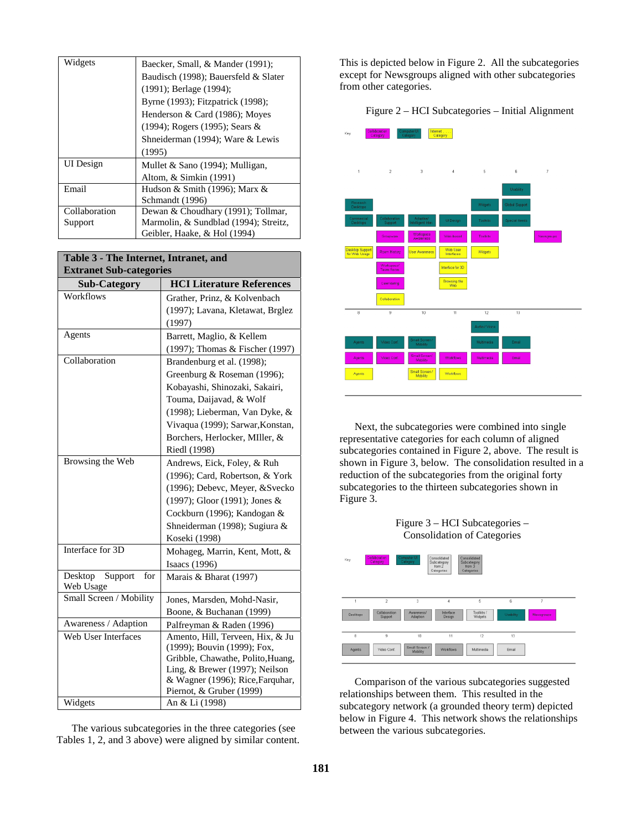| Widgets       | Baecker, Small, & Mander (1991);      |
|---------------|---------------------------------------|
|               | Baudisch (1998); Bauersfeld & Slater  |
|               | (1991); Berlage (1994);               |
|               | Byrne (1993); Fitzpatrick (1998);     |
|               | Henderson & Card (1986); Moyes        |
|               | $(1994)$ ; Rogers $(1995)$ ; Sears &  |
|               | Shneiderman (1994); Ware & Lewis      |
|               | (1995)                                |
| UI Design     | Mullet & Sano (1994); Mulligan,       |
|               | Altom, & Simkin (1991)                |
| Email         | Hudson & Smith (1996); Marx $\&$      |
|               | Schmandt (1996)                       |
| Collaboration | Dewan & Choudhary (1991); Tollmar,    |
| Support       | Marmolin, & Sundblad (1994); Streitz, |
|               | Geibler, Haake, & Hol (1994)          |

| <b>HCI Literature References</b><br><b>Sub-Category</b><br>Workflows<br>Grather, Prinz, & Kolvenbach<br>(1997); Lavana, Kletawat, Brglez<br>(1997)<br>Agents<br>Barrett, Maglio, & Kellem<br>(1997); Thomas & Fischer (1997)<br>Collaboration<br>Brandenburg et al. (1998);<br>Greenburg & Roseman (1996);<br>Kobayashi, Shinozaki, Sakairi,<br>Touma, Daijavad, & Wolf<br>(1998); Lieberman, Van Dyke, &<br>Vivaqua (1999); Sarwar, Konstan,<br>Borchers, Herlocker, MIller, &<br>Riedl (1998)<br>Browsing the Web<br>Andrews, Eick, Foley, & Ruh<br>(1996); Card, Robertson, & York<br>(1996); Debevc, Meyer, &Svecko<br>(1997); Gloor (1991); Jones &<br>Cockburn (1996); Kandogan &<br>Shneiderman (1998); Sugiura &<br>Koseki (1998)<br>Interface for 3D<br>Mohageg, Marrin, Kent, Mott, &<br>Isaacs (1996)<br>Desktop<br>Support<br>for<br>Marais & Bharat (1997)<br>Web Usage<br>Small Screen / Mobility<br>Jones, Marsden, Mohd-Nasir,<br>Boone, & Buchanan (1999)<br>Awareness / Adaption<br>Palfreyman & Raden (1996)<br>Web User Interfaces<br>Amento, Hill, Terveen, Hix, & Ju | Table 3 - The Internet, Intranet, and<br><b>Extranet Sub-categories</b> |                             |
|--------------------------------------------------------------------------------------------------------------------------------------------------------------------------------------------------------------------------------------------------------------------------------------------------------------------------------------------------------------------------------------------------------------------------------------------------------------------------------------------------------------------------------------------------------------------------------------------------------------------------------------------------------------------------------------------------------------------------------------------------------------------------------------------------------------------------------------------------------------------------------------------------------------------------------------------------------------------------------------------------------------------------------------------------------------------------------------------|-------------------------------------------------------------------------|-----------------------------|
|                                                                                                                                                                                                                                                                                                                                                                                                                                                                                                                                                                                                                                                                                                                                                                                                                                                                                                                                                                                                                                                                                            |                                                                         |                             |
|                                                                                                                                                                                                                                                                                                                                                                                                                                                                                                                                                                                                                                                                                                                                                                                                                                                                                                                                                                                                                                                                                            |                                                                         |                             |
|                                                                                                                                                                                                                                                                                                                                                                                                                                                                                                                                                                                                                                                                                                                                                                                                                                                                                                                                                                                                                                                                                            |                                                                         |                             |
|                                                                                                                                                                                                                                                                                                                                                                                                                                                                                                                                                                                                                                                                                                                                                                                                                                                                                                                                                                                                                                                                                            |                                                                         |                             |
|                                                                                                                                                                                                                                                                                                                                                                                                                                                                                                                                                                                                                                                                                                                                                                                                                                                                                                                                                                                                                                                                                            |                                                                         |                             |
|                                                                                                                                                                                                                                                                                                                                                                                                                                                                                                                                                                                                                                                                                                                                                                                                                                                                                                                                                                                                                                                                                            |                                                                         |                             |
|                                                                                                                                                                                                                                                                                                                                                                                                                                                                                                                                                                                                                                                                                                                                                                                                                                                                                                                                                                                                                                                                                            |                                                                         |                             |
|                                                                                                                                                                                                                                                                                                                                                                                                                                                                                                                                                                                                                                                                                                                                                                                                                                                                                                                                                                                                                                                                                            |                                                                         |                             |
|                                                                                                                                                                                                                                                                                                                                                                                                                                                                                                                                                                                                                                                                                                                                                                                                                                                                                                                                                                                                                                                                                            |                                                                         |                             |
|                                                                                                                                                                                                                                                                                                                                                                                                                                                                                                                                                                                                                                                                                                                                                                                                                                                                                                                                                                                                                                                                                            |                                                                         |                             |
|                                                                                                                                                                                                                                                                                                                                                                                                                                                                                                                                                                                                                                                                                                                                                                                                                                                                                                                                                                                                                                                                                            |                                                                         |                             |
|                                                                                                                                                                                                                                                                                                                                                                                                                                                                                                                                                                                                                                                                                                                                                                                                                                                                                                                                                                                                                                                                                            |                                                                         |                             |
|                                                                                                                                                                                                                                                                                                                                                                                                                                                                                                                                                                                                                                                                                                                                                                                                                                                                                                                                                                                                                                                                                            |                                                                         |                             |
|                                                                                                                                                                                                                                                                                                                                                                                                                                                                                                                                                                                                                                                                                                                                                                                                                                                                                                                                                                                                                                                                                            |                                                                         |                             |
|                                                                                                                                                                                                                                                                                                                                                                                                                                                                                                                                                                                                                                                                                                                                                                                                                                                                                                                                                                                                                                                                                            |                                                                         |                             |
|                                                                                                                                                                                                                                                                                                                                                                                                                                                                                                                                                                                                                                                                                                                                                                                                                                                                                                                                                                                                                                                                                            |                                                                         |                             |
|                                                                                                                                                                                                                                                                                                                                                                                                                                                                                                                                                                                                                                                                                                                                                                                                                                                                                                                                                                                                                                                                                            |                                                                         |                             |
|                                                                                                                                                                                                                                                                                                                                                                                                                                                                                                                                                                                                                                                                                                                                                                                                                                                                                                                                                                                                                                                                                            |                                                                         |                             |
|                                                                                                                                                                                                                                                                                                                                                                                                                                                                                                                                                                                                                                                                                                                                                                                                                                                                                                                                                                                                                                                                                            |                                                                         |                             |
|                                                                                                                                                                                                                                                                                                                                                                                                                                                                                                                                                                                                                                                                                                                                                                                                                                                                                                                                                                                                                                                                                            |                                                                         |                             |
|                                                                                                                                                                                                                                                                                                                                                                                                                                                                                                                                                                                                                                                                                                                                                                                                                                                                                                                                                                                                                                                                                            |                                                                         |                             |
|                                                                                                                                                                                                                                                                                                                                                                                                                                                                                                                                                                                                                                                                                                                                                                                                                                                                                                                                                                                                                                                                                            |                                                                         |                             |
|                                                                                                                                                                                                                                                                                                                                                                                                                                                                                                                                                                                                                                                                                                                                                                                                                                                                                                                                                                                                                                                                                            |                                                                         |                             |
|                                                                                                                                                                                                                                                                                                                                                                                                                                                                                                                                                                                                                                                                                                                                                                                                                                                                                                                                                                                                                                                                                            |                                                                         |                             |
|                                                                                                                                                                                                                                                                                                                                                                                                                                                                                                                                                                                                                                                                                                                                                                                                                                                                                                                                                                                                                                                                                            |                                                                         |                             |
|                                                                                                                                                                                                                                                                                                                                                                                                                                                                                                                                                                                                                                                                                                                                                                                                                                                                                                                                                                                                                                                                                            |                                                                         |                             |
|                                                                                                                                                                                                                                                                                                                                                                                                                                                                                                                                                                                                                                                                                                                                                                                                                                                                                                                                                                                                                                                                                            |                                                                         |                             |
|                                                                                                                                                                                                                                                                                                                                                                                                                                                                                                                                                                                                                                                                                                                                                                                                                                                                                                                                                                                                                                                                                            |                                                                         |                             |
|                                                                                                                                                                                                                                                                                                                                                                                                                                                                                                                                                                                                                                                                                                                                                                                                                                                                                                                                                                                                                                                                                            |                                                                         | (1999); Bouvin (1999); Fox, |
| Gribble, Chawathe, Polito, Huang,<br>Ling, & Brewer (1997); Neilson                                                                                                                                                                                                                                                                                                                                                                                                                                                                                                                                                                                                                                                                                                                                                                                                                                                                                                                                                                                                                        |                                                                         |                             |
| & Wagner (1996); Rice, Farquhar,                                                                                                                                                                                                                                                                                                                                                                                                                                                                                                                                                                                                                                                                                                                                                                                                                                                                                                                                                                                                                                                           |                                                                         |                             |
| Piernot, & Gruber (1999)                                                                                                                                                                                                                                                                                                                                                                                                                                                                                                                                                                                                                                                                                                                                                                                                                                                                                                                                                                                                                                                                   |                                                                         |                             |
| Widgets<br>An & Li (1998)                                                                                                                                                                                                                                                                                                                                                                                                                                                                                                                                                                                                                                                                                                                                                                                                                                                                                                                                                                                                                                                                  |                                                                         |                             |

The various subcategories in the three categories (see Tables 1, 2, and 3 above) were aligned by similar content. This is depicted below in Figure 2. All the subcategories except for Newsgroups aligned with other subcategories from other categories.

#### Figure 2 – HCI Subcategories – Initial Alignment



Next, the subcategories were combined into single representative categories for each column of aligned subcategories contained in Figure 2, above. The result is shown in Figure 3, below. The consolidation resulted in a reduction of the subcategories from the original forty subcategories to the thirteen subcategories shown in Figure 3.





Comparison of the various subcategories suggested relationships between them. This resulted in the subcategory network (a grounded theory term) depicted below in Figure 4. This network shows the relationships between the various subcategories.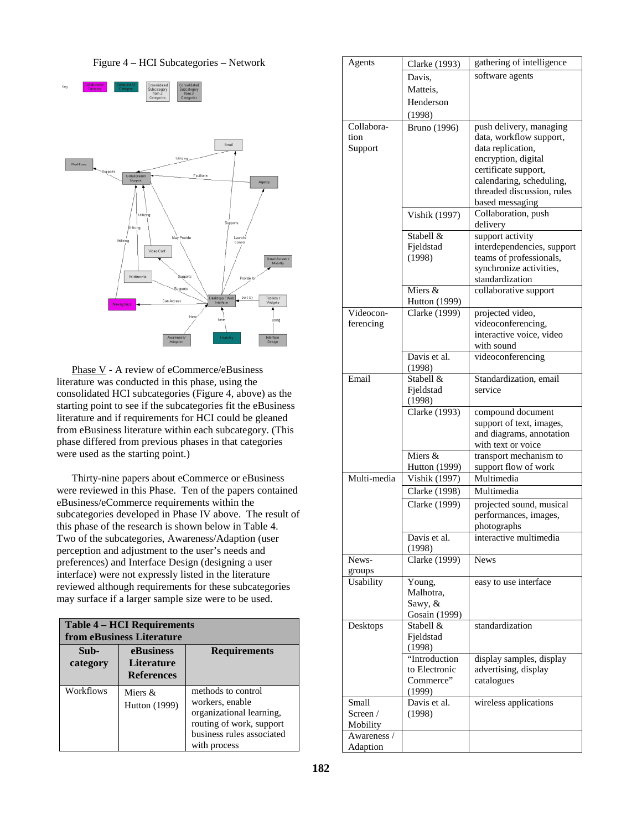



Phase V - A review of eCommerce/eBusiness literature was conducted in this phase, using the consolidated HCI subcategories (Figure 4, above) as the starting point to see if the subcategories fit the eBusiness literature and if requirements for HCI could be gleaned from eBusiness literature within each subcategory. (This phase differed from previous phases in that categories were used as the starting point.)

Thirty-nine papers about eCommerce or eBusiness were reviewed in this Phase. Ten of the papers contained eBusiness/eCommerce requirements within the subcategories developed in Phase IV above. The result of this phase of the research is shown below in Table 4. Two of the subcategories, Awareness/Adaption (user perception and adjustment to the user's needs and preferences) and Interface Design (designing a user interface) were not expressly listed in the literature reviewed although requirements for these subcategories may surface if a larger sample size were to be used.

| <b>Table 4 – HCI Requirements</b><br>from eBusiness Literature |                                                     |                                                                                                                                            |
|----------------------------------------------------------------|-----------------------------------------------------|--------------------------------------------------------------------------------------------------------------------------------------------|
| Sub-<br>category                                               | eBusiness<br><b>Literature</b><br><b>References</b> | <b>Requirements</b>                                                                                                                        |
| Workflows                                                      | Miers &<br><b>Hutton</b> (1999)                     | methods to control<br>workers, enable<br>organizational learning,<br>routing of work, support<br>business rules associated<br>with process |

| Agents      | Clarke (1993)                         | gathering of intelligence                              |
|-------------|---------------------------------------|--------------------------------------------------------|
|             | Davis,                                | software agents                                        |
|             | Matteis,                              |                                                        |
|             | Henderson                             |                                                        |
|             | (1998)                                |                                                        |
| Collabora-  | <b>Bruno</b> (1996)                   | push delivery, managing                                |
| tion        |                                       | data, workflow support,                                |
| Support     |                                       | data replication,                                      |
|             |                                       | encryption, digital                                    |
|             |                                       | certificate support,                                   |
|             |                                       | calendaring, scheduling,<br>threaded discussion, rules |
|             |                                       | based messaging                                        |
|             | Vishik (1997)                         | Collaboration, push                                    |
|             |                                       | delivery                                               |
|             | Stabell &                             | support activity                                       |
|             | Fjeldstad                             | interdependencies, support                             |
|             | (1998)                                | teams of professionals,                                |
|             |                                       | synchronize activities,                                |
|             |                                       | standardization                                        |
|             | Miers &                               | collaborative support                                  |
| Videocon-   | Hutton (1999)<br><b>Clarke</b> (1999) | projected video,                                       |
| ferencing   |                                       | videoconferencing,                                     |
|             |                                       | interactive voice, video                               |
|             |                                       | with sound                                             |
|             | Davis et al.                          | videoconferencing                                      |
|             | (1998)                                |                                                        |
| Email       | Stabell &                             | Standardization, email                                 |
|             | Fjeldstad                             | service                                                |
|             | (1998)                                |                                                        |
|             | Clarke (1993)                         | compound document<br>support of text, images,          |
|             |                                       | and diagrams, annotation                               |
|             |                                       | with text or voice                                     |
|             | Miers &                               | transport mechanism to                                 |
|             | Hutton (1999)                         | support flow of work                                   |
| Multi-media | Vishik (1997)                         | Multimedia                                             |
|             | <b>Clarke</b> (1998)                  | Multimedia                                             |
|             | Clarke (1999)                         | projected sound, musical                               |
|             |                                       | performances, images,                                  |
|             |                                       | photographs                                            |
|             | Davis et al.<br>(1998)                | interactive multimedia                                 |
| News-       | <b>Clarke</b> (1999)                  | <b>News</b>                                            |
| groups      |                                       |                                                        |
| Usability   | Young,                                | easy to use interface                                  |
|             | Malhotra,                             |                                                        |
|             | Sawy, &                               |                                                        |
|             | Gosain (1999)                         |                                                        |
| Desktops    | Stabell &                             | standardization                                        |
|             | Fieldstad                             |                                                        |
|             | (1998)<br>"Introduction               | display samples, display                               |
|             | to Electronic                         | advertising, display                                   |
|             | Commerce"                             | catalogues                                             |
|             | (1999)                                |                                                        |
| Small       | Davis et al.                          | wireless applications                                  |
| Screen $/$  | (1998)                                |                                                        |
| Mobility    |                                       |                                                        |
| Awareness / |                                       |                                                        |
| Adaption    |                                       |                                                        |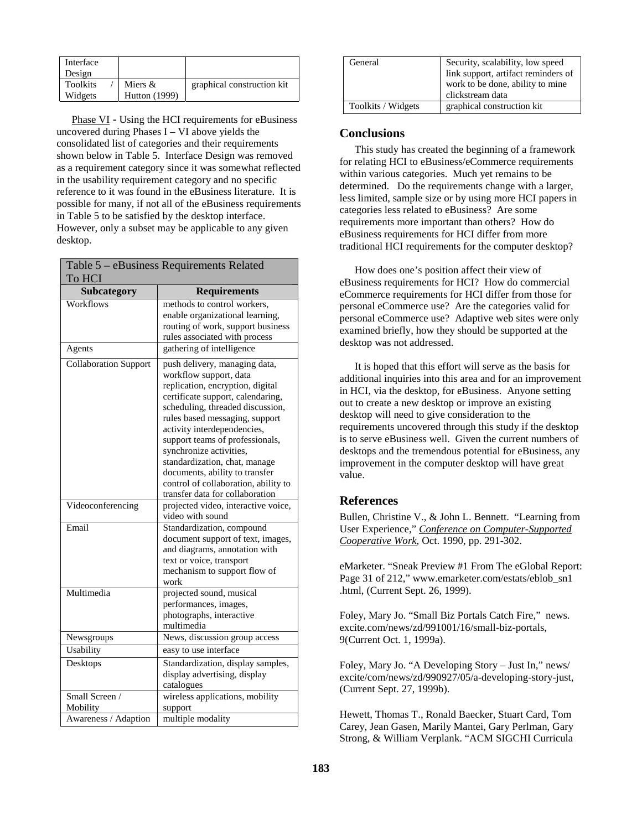| Interface<br>Design        |                                   |                            |  |
|----------------------------|-----------------------------------|----------------------------|--|
|                            |                                   |                            |  |
|                            |                                   |                            |  |
| <b>Toolkits</b><br>Widgets | Miers $&$<br><b>Hutton</b> (1999) | graphical construction kit |  |

Phase VI - Using the HCI requirements for eBusiness uncovered during Phases I – VI above yields the consolidated list of categories and their requirements shown below in Table 5. Interface Design was removed as a requirement category since it was somewhat reflected in the usability requirement category and no specific reference to it was found in the eBusiness literature. It is possible for many, if not all of the eBusiness requirements in Table 5 to be satisfied by the desktop interface. However, only a subset may be applicable to any given desktop.

| Table 5 - eBusiness Requirements Related |                                                                    |  |
|------------------------------------------|--------------------------------------------------------------------|--|
| To HCI                                   |                                                                    |  |
| Subcategory                              | <b>Requirements</b>                                                |  |
| Workflows                                | methods to control workers,                                        |  |
|                                          | enable organizational learning,                                    |  |
|                                          | routing of work, support business                                  |  |
|                                          | rules associated with process                                      |  |
| Agents                                   | gathering of intelligence                                          |  |
| <b>Collaboration Support</b>             | push delivery, managing data,                                      |  |
|                                          | workflow support, data                                             |  |
|                                          | replication, encryption, digital                                   |  |
|                                          | certificate support, calendaring,                                  |  |
|                                          | scheduling, threaded discussion,                                   |  |
|                                          | rules based messaging, support                                     |  |
|                                          | activity interdependencies,                                        |  |
|                                          | support teams of professionals,                                    |  |
|                                          | synchronize activities,                                            |  |
|                                          | standardization, chat, manage                                      |  |
|                                          | documents, ability to transfer                                     |  |
|                                          | control of collaboration, ability to                               |  |
|                                          | transfer data for collaboration                                    |  |
| Videoconferencing                        | projected video, interactive voice,                                |  |
| Email                                    | video with sound                                                   |  |
|                                          | Standardization, compound                                          |  |
|                                          | document support of text, images,<br>and diagrams, annotation with |  |
|                                          | text or voice, transport                                           |  |
|                                          | mechanism to support flow of                                       |  |
|                                          | work                                                               |  |
| Multimedia                               | projected sound, musical                                           |  |
|                                          | performances, images,                                              |  |
|                                          | photographs, interactive                                           |  |
|                                          | multimedia                                                         |  |
| Newsgroups                               | News, discussion group access                                      |  |
| Usability                                | easy to use interface                                              |  |
| Desktops                                 | Standardization, display samples,                                  |  |
|                                          | display advertising, display                                       |  |
|                                          | catalogues                                                         |  |
| Small Screen /                           | wireless applications, mobility                                    |  |
| Mobility                                 | support                                                            |  |
| Awareness / Adaption                     | multiple modality                                                  |  |

| General            | Security, scalability, low speed<br>link support, artifact reminders of<br>work to be done, ability to mine<br>clickstream data |
|--------------------|---------------------------------------------------------------------------------------------------------------------------------|
| Toolkits / Widgets | graphical construction kit                                                                                                      |

## **Conclusions**

This study has created the beginning of a framework for relating HCI to eBusiness/eCommerce requirements within various categories. Much yet remains to be determined. Do the requirements change with a larger, less limited, sample size or by using more HCI papers in categories less related to eBusiness? Are some requirements more important than others? How do eBusiness requirements for HCI differ from more traditional HCI requirements for the computer desktop?

How does one's position affect their view of eBusiness requirements for HCI? How do commercial eCommerce requirements for HCI differ from those for personal eCommerce use? Are the categories valid for personal eCommerce use? Adaptive web sites were only examined briefly, how they should be supported at the desktop was not addressed.

It is hoped that this effort will serve as the basis for additional inquiries into this area and for an improvement in HCI, via the desktop, for eBusiness. Anyone setting out to create a new desktop or improve an existing desktop will need to give consideration to the requirements uncovered through this study if the desktop is to serve eBusiness well. Given the current numbers of desktops and the tremendous potential for eBusiness, any improvement in the computer desktop will have great value.

# **References**

Bullen, Christine V., & John L. Bennett. "Learning from User Experience," *Conference on Computer-Supported Cooperative Work*, Oct. 1990, pp. 291-302.

eMarketer. "Sneak Preview #1 From The eGlobal Report: Page 31 of 212," www.emarketer.com/estats/eblob\_sn1 .html, (Current Sept. 26, 1999).

Foley, Mary Jo. "Small Biz Portals Catch Fire," news. excite.com/news/zd/991001/16/small-biz-portals, 9(Current Oct. 1, 1999a).

Foley, Mary Jo. "A Developing Story – Just In," news/ excite/com/news/zd/990927/05/a-developing-story-just, (Current Sept. 27, 1999b).

Hewett, Thomas T., Ronald Baecker, Stuart Card, Tom Carey, Jean Gasen, Marily Mantei, Gary Perlman, Gary Strong, & William Verplank. "ACM SIGCHI Curricula